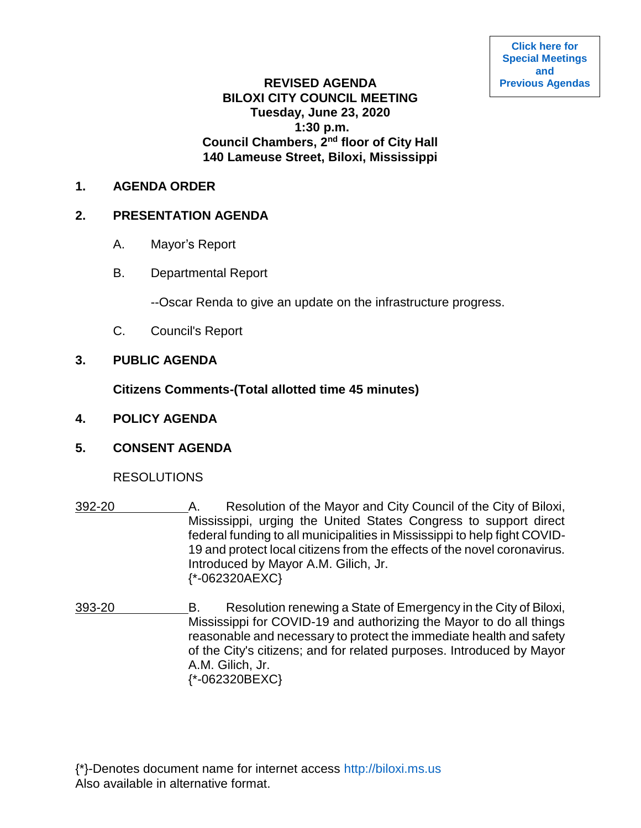# **REVISED AGENDA BILOXI CITY COUNCIL MEETING Tuesday, June 23, 2020 1:30 p.m. Council Chambers, 2nd floor of City Hall 140 Lameuse Street, Biloxi, Mississippi**

#### **1. AGENDA ORDER**

# **2. PRESENTATION AGENDA**

- A. Mayor's Report
- B. Departmental Report

--Oscar Renda to give an update on the infrastructure progress.

- C. Council's Report
- **3. PUBLIC AGENDA**

**Citizens Comments-(Total allotted time 45 minutes)**

**4. POLICY AGENDA**

# **5. CONSENT AGENDA**

#### RESOLUTIONS

- 392-20 A. Resolution of the Mayor and City Council of the City of Biloxi, Mississippi, urging the United States Congress to support direct federal funding to all municipalities in Mississippi to help fight COVID-19 and protect local citizens from the effects of the novel coronavirus. Introduced by Mayor A.M. Gilich, Jr. {\*-062320AEXC}
- 393-20 B. Resolution renewing a State of Emergency in the City of Biloxi, Mississippi for COVID-19 and authorizing the Mayor to do all things reasonable and necessary to protect the immediate health and safety of the City's citizens; and for related purposes. Introduced by Mayor A.M. Gilich, Jr. {\*-062320BEXC}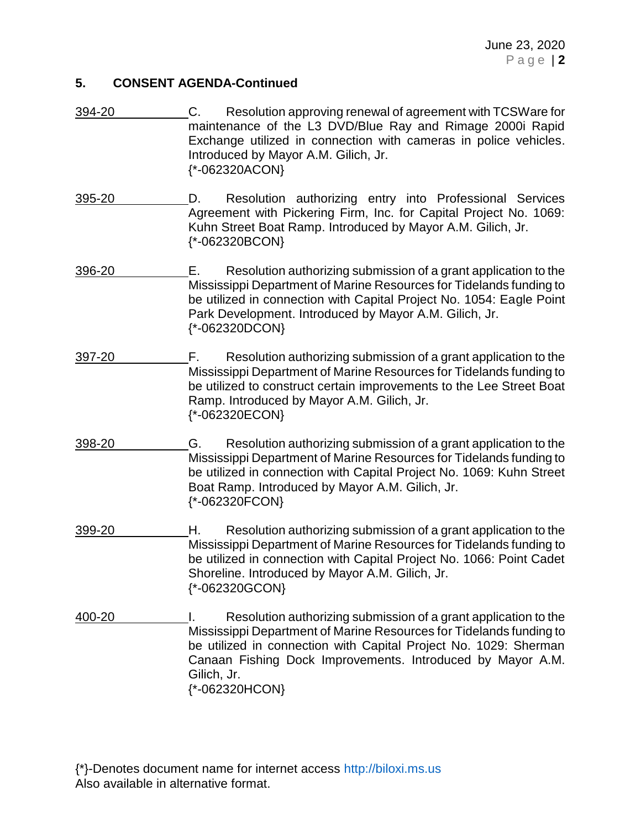#### **5. CONSENT AGENDA-Continued**

- 394-20 C. Resolution approving renewal of agreement with TCSWare for maintenance of the L3 DVD/Blue Ray and Rimage 2000i Rapid Exchange utilized in connection with cameras in police vehicles. Introduced by Mayor A.M. Gilich, Jr. {\*-062320ACON}
- 395-20 D. Resolution authorizing entry into Professional Services Agreement with Pickering Firm, Inc. for Capital Project No. 1069: Kuhn Street Boat Ramp. Introduced by Mayor A.M. Gilich, Jr. {\*-062320BCON}
- 396-20 E. Resolution authorizing submission of a grant application to the Mississippi Department of Marine Resources for Tidelands funding to be utilized in connection with Capital Project No. 1054: Eagle Point Park Development. Introduced by Mayor A.M. Gilich, Jr. {\*-062320DCON}
- 397-20 F. Resolution authorizing submission of a grant application to the Mississippi Department of Marine Resources for Tidelands funding to be utilized to construct certain improvements to the Lee Street Boat Ramp. Introduced by Mayor A.M. Gilich, Jr. {\*-062320ECON}
- 398-20 G. Resolution authorizing submission of a grant application to the Mississippi Department of Marine Resources for Tidelands funding to be utilized in connection with Capital Project No. 1069: Kuhn Street Boat Ramp. Introduced by Mayor A.M. Gilich, Jr. {\*-062320FCON}
- 399-20 H. Resolution authorizing submission of a grant application to the Mississippi Department of Marine Resources for Tidelands funding to be utilized in connection with Capital Project No. 1066: Point Cadet Shoreline. Introduced by Mayor A.M. Gilich, Jr. {\*-062320GCON}
- 400-20 I. Resolution authorizing submission of a grant application to the Mississippi Department of Marine Resources for Tidelands funding to be utilized in connection with Capital Project No. 1029: Sherman Canaan Fishing Dock Improvements. Introduced by Mayor A.M. Gilich, Jr. {\*-062320HCON}

{\*}-Denotes document name for internet access [http://biloxi.ms.us](http://biloxi.ms.us/) Also available in alternative format.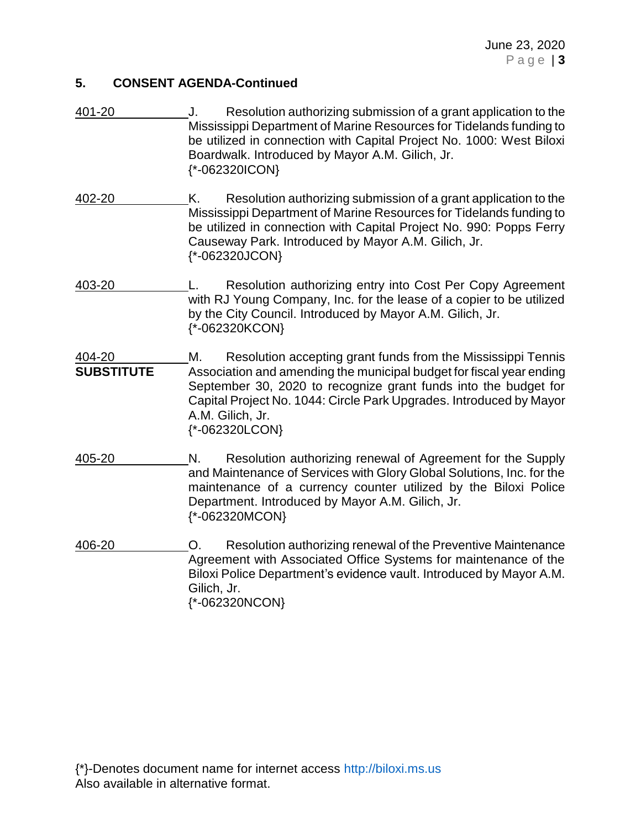# **5. CONSENT AGENDA-Continued**

- 401-20 J. Resolution authorizing submission of a grant application to the Mississippi Department of Marine Resources for Tidelands funding to be utilized in connection with Capital Project No. 1000: West Biloxi Boardwalk. Introduced by Mayor A.M. Gilich, Jr. {\*-062320ICON}
- 402-20 K. Resolution authorizing submission of a grant application to the Mississippi Department of Marine Resources for Tidelands funding to be utilized in connection with Capital Project No. 990: Popps Ferry Causeway Park. Introduced by Mayor A.M. Gilich, Jr. {\*-062320JCON}
- 403-20 L. Resolution authorizing entry into Cost Per Copy Agreement with RJ Young Company, Inc. for the lease of a copier to be utilized by the City Council. Introduced by Mayor A.M. Gilich, Jr. {\*-062320KCON}
- 404-20 M. Resolution accepting grant funds from the Mississippi Tennis **SUBSTITUTE** Association and amending the municipal budget for fiscal year ending September 30, 2020 to recognize grant funds into the budget for Capital Project No. 1044: Circle Park Upgrades. Introduced by Mayor A.M. Gilich, Jr. {\*-062320LCON}
- 405-20 N. Resolution authorizing renewal of Agreement for the Supply and Maintenance of Services with Glory Global Solutions, Inc. for the maintenance of a currency counter utilized by the Biloxi Police Department. Introduced by Mayor A.M. Gilich, Jr. {\*-062320MCON}
- 406-20 O. Resolution authorizing renewal of the Preventive Maintenance Agreement with Associated Office Systems for maintenance of the Biloxi Police Department's evidence vault. Introduced by Mayor A.M. Gilich, Jr. {\*-062320NCON}